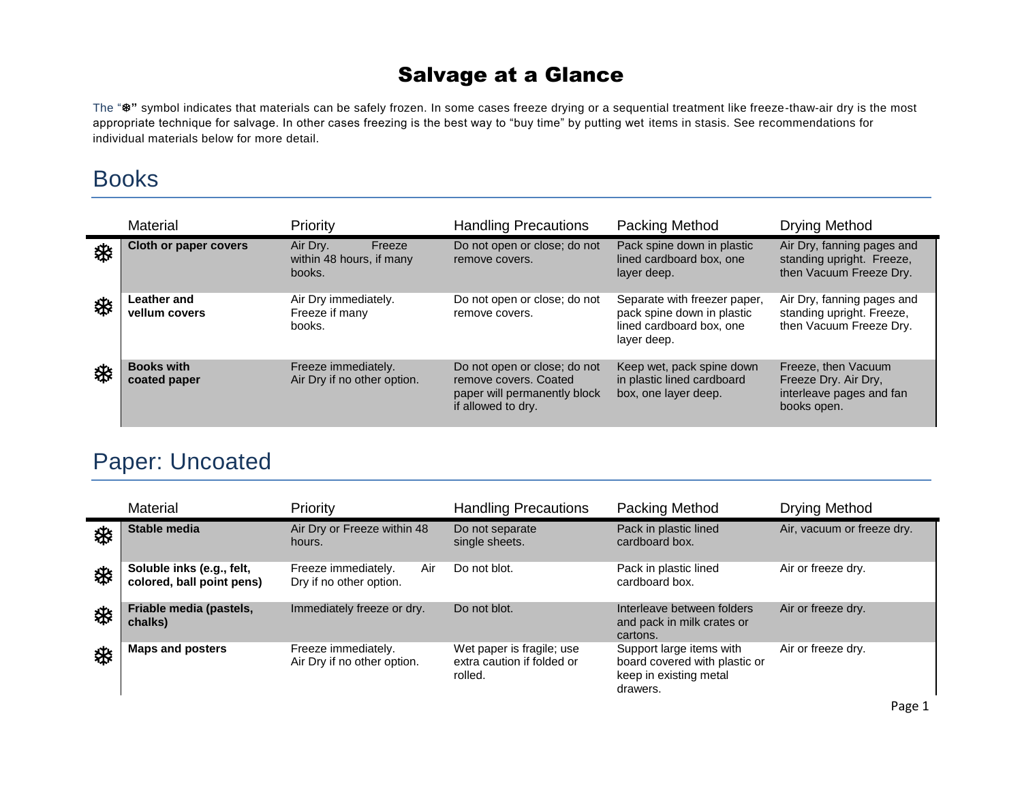The " $*$ " symbol indicates that materials can be safely frozen. In some cases freeze drying or a sequential treatment like freeze-thaw-air dry is the most appropriate technique for salvage. In other cases freezing is the best way to "buy time" by putting wet items in stasis. See recommendations for individual materials below for more detail.

## Books

|   | Material                            | Priority                                                 | <b>Handling Precautions</b>                                                                                 | Packing Method                                                                                        | Drying Method                                                                          |
|---|-------------------------------------|----------------------------------------------------------|-------------------------------------------------------------------------------------------------------------|-------------------------------------------------------------------------------------------------------|----------------------------------------------------------------------------------------|
| 尜 | Cloth or paper covers               | Air Dry.<br>Freeze<br>within 48 hours, if many<br>books. | Do not open or close; do not<br>remove covers.                                                              | Pack spine down in plastic<br>lined cardboard box, one<br>layer deep.                                 | Air Dry, fanning pages and<br>standing upright. Freeze,<br>then Vacuum Freeze Dry.     |
| 尜 | <b>Leather</b> and<br>vellum covers | Air Dry immediately.<br>Freeze if many<br>books.         | Do not open or close; do not<br>remove covers.                                                              | Separate with freezer paper,<br>pack spine down in plastic<br>lined cardboard box, one<br>layer deep. | Air Dry, fanning pages and<br>standing upright. Freeze,<br>then Vacuum Freeze Dry.     |
| 尜 | <b>Books with</b><br>coated paper   | Freeze immediately.<br>Air Dry if no other option.       | Do not open or close; do not<br>remove covers. Coated<br>paper will permanently block<br>if allowed to dry. | Keep wet, pack spine down<br>in plastic lined cardboard<br>box, one layer deep.                       | Freeze, then Vacuum<br>Freeze Dry. Air Dry,<br>interleave pages and fan<br>books open. |

# Paper: Uncoated

|   | <b>Material</b>                                        | Priority                                              | <b>Handling Precautions</b>                                        | Packing Method                                                                                  | <b>Drying Method</b>       |
|---|--------------------------------------------------------|-------------------------------------------------------|--------------------------------------------------------------------|-------------------------------------------------------------------------------------------------|----------------------------|
| ₩ | Stable media                                           | Air Dry or Freeze within 48<br>hours.                 | Do not separate<br>single sheets.                                  | Pack in plastic lined<br>cardboard box.                                                         | Air, vacuum or freeze dry. |
| ₩ | Soluble inks (e.g., felt,<br>colored, ball point pens) | Freeze immediately.<br>Air<br>Dry if no other option. | Do not blot.                                                       | Pack in plastic lined<br>cardboard box.                                                         | Air or freeze dry.         |
| 尜 | Friable media (pastels,<br>chalks)                     | Immediately freeze or dry.                            | Do not blot.                                                       | Interleave between folders<br>and pack in milk crates or<br>cartons.                            | Air or freeze dry.         |
| ₩ | <b>Maps and posters</b>                                | Freeze immediately.<br>Air Dry if no other option.    | Wet paper is fragile; use<br>extra caution if folded or<br>rolled. | Support large items with<br>board covered with plastic or<br>keep in existing metal<br>drawers. | Air or freeze dry.         |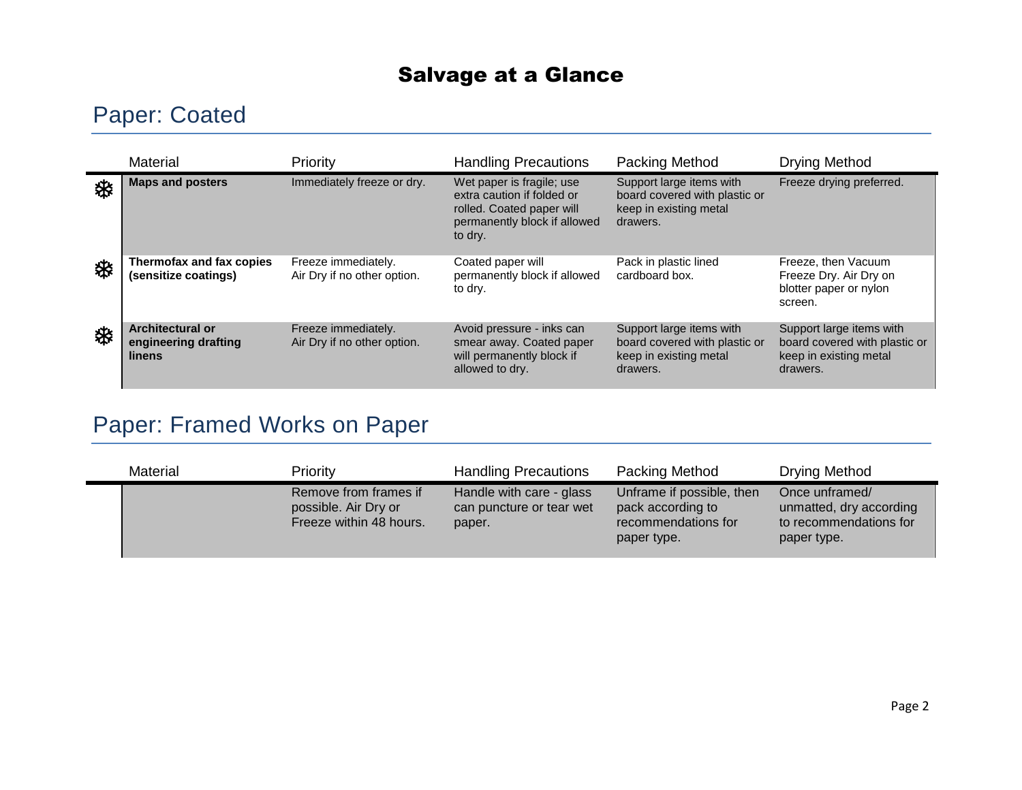<u> 1980 - Johann Barn, amerikansk politiker (d. 1980)</u>

## Paper: Coated

|   | Material                                                         | Priority                                           | <b>Handling Precautions</b>                                                                                                     | Packing Method                                                                                  | Drying Method                                                                                   |
|---|------------------------------------------------------------------|----------------------------------------------------|---------------------------------------------------------------------------------------------------------------------------------|-------------------------------------------------------------------------------------------------|-------------------------------------------------------------------------------------------------|
| 尜 | <b>Maps and posters</b>                                          | Immediately freeze or dry.                         | Wet paper is fragile; use<br>extra caution if folded or<br>rolled. Coated paper will<br>permanently block if allowed<br>to dry. | Support large items with<br>board covered with plastic or<br>keep in existing metal<br>drawers. | Freeze drying preferred.                                                                        |
| 尜 | Thermofax and fax copies<br>(sensitize coatings)                 | Freeze immediately.<br>Air Dry if no other option. | Coated paper will<br>permanently block if allowed<br>to dry.                                                                    | Pack in plastic lined<br>cardboard box.                                                         | Freeze, then Vacuum<br>Freeze Dry. Air Dry on<br>blotter paper or nylon<br>screen.              |
| 尜 | <b>Architectural or</b><br>engineering drafting<br><b>linens</b> | Freeze immediately.<br>Air Dry if no other option. | Avoid pressure - inks can<br>smear away. Coated paper<br>will permanently block if<br>allowed to dry.                           | Support large items with<br>board covered with plastic or<br>keep in existing metal<br>drawers. | Support large items with<br>board covered with plastic or<br>keep in existing metal<br>drawers. |

# Paper: Framed Works on Paper

| Material | Priority                                                                 | <b>Handling Precautions</b>                                    | Packing Method                                                                       | Drying Method                                                                      |
|----------|--------------------------------------------------------------------------|----------------------------------------------------------------|--------------------------------------------------------------------------------------|------------------------------------------------------------------------------------|
|          | Remove from frames if<br>possible. Air Dry or<br>Freeze within 48 hours. | Handle with care - glass<br>can puncture or tear wet<br>paper. | Unframe if possible, then<br>pack according to<br>recommendations for<br>paper type. | Once unframed/<br>unmatted, dry according<br>to recommendations for<br>paper type. |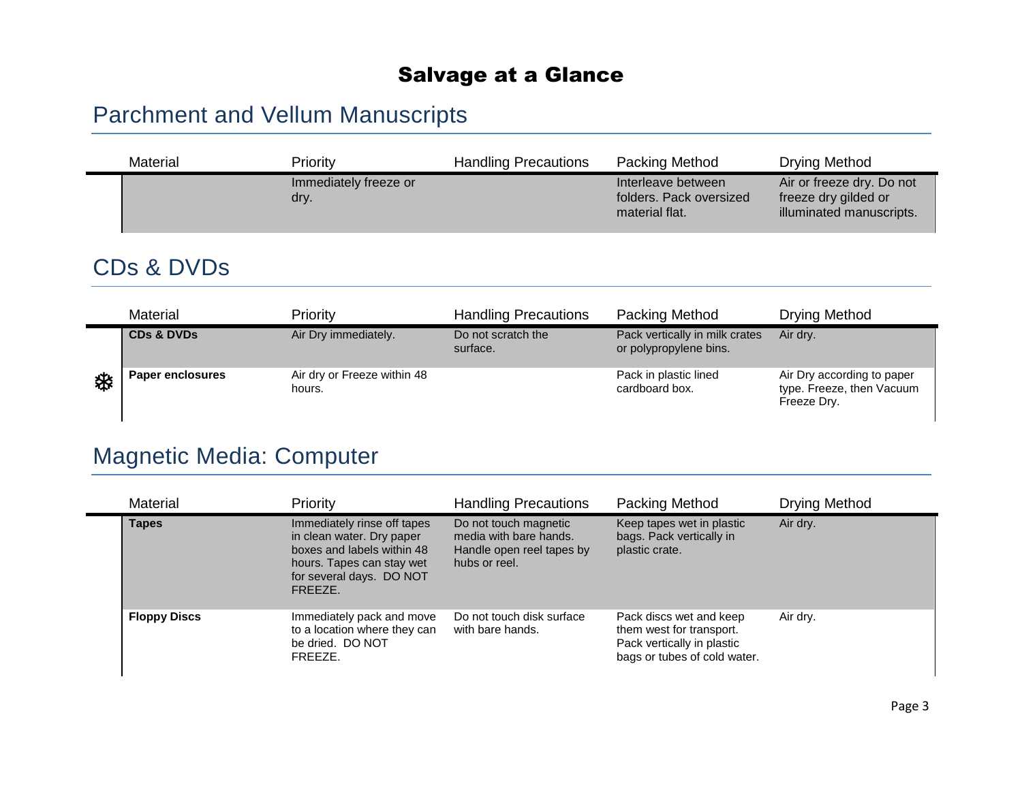## Parchment and Vellum Manuscripts

| Material | Priority                      | <b>Handling Precautions</b> | Packing Method                                                  | Drying Method                                                                 |
|----------|-------------------------------|-----------------------------|-----------------------------------------------------------------|-------------------------------------------------------------------------------|
|          | Immediately freeze or<br>dry. |                             | Interleave between<br>folders. Pack oversized<br>material flat. | Air or freeze dry. Do not<br>freeze dry gilded or<br>illuminated manuscripts. |

## CDs & DVDs

|   | <b>Material</b>         | Priority                              | <b>Handling Precautions</b>    | Packing Method                                           | Drying Method                                                          |
|---|-------------------------|---------------------------------------|--------------------------------|----------------------------------------------------------|------------------------------------------------------------------------|
|   | <b>CDs &amp; DVDs</b>   | Air Dry immediately.                  | Do not scratch the<br>surface. | Pack vertically in milk crates<br>or polypropylene bins. | Air dry.                                                               |
| 尜 | <b>Paper enclosures</b> | Air dry or Freeze within 48<br>hours. |                                | Pack in plastic lined<br>cardboard box.                  | Air Dry according to paper<br>type. Freeze, then Vacuum<br>Freeze Dry. |

## Magnetic Media: Computer

| Material            | Priority                                                                                                                                                   | <b>Handling Precautions</b>                                                                   | Packing Method                                                                                                    | Drying Method |
|---------------------|------------------------------------------------------------------------------------------------------------------------------------------------------------|-----------------------------------------------------------------------------------------------|-------------------------------------------------------------------------------------------------------------------|---------------|
| <b>Tapes</b>        | Immediately rinse off tapes<br>in clean water. Dry paper<br>boxes and labels within 48<br>hours. Tapes can stay wet<br>for several days. DO NOT<br>FREEZE. | Do not touch magnetic<br>media with bare hands.<br>Handle open reel tapes by<br>hubs or reel. | Keep tapes wet in plastic<br>bags. Pack vertically in<br>plastic crate.                                           | Air dry.      |
| <b>Floppy Discs</b> | Immediately pack and move<br>to a location where they can<br>be dried. DO NOT<br>FREEZE.                                                                   | Do not touch disk surface<br>with bare hands.                                                 | Pack discs wet and keep<br>them west for transport.<br>Pack vertically in plastic<br>bags or tubes of cold water. | Air dry.      |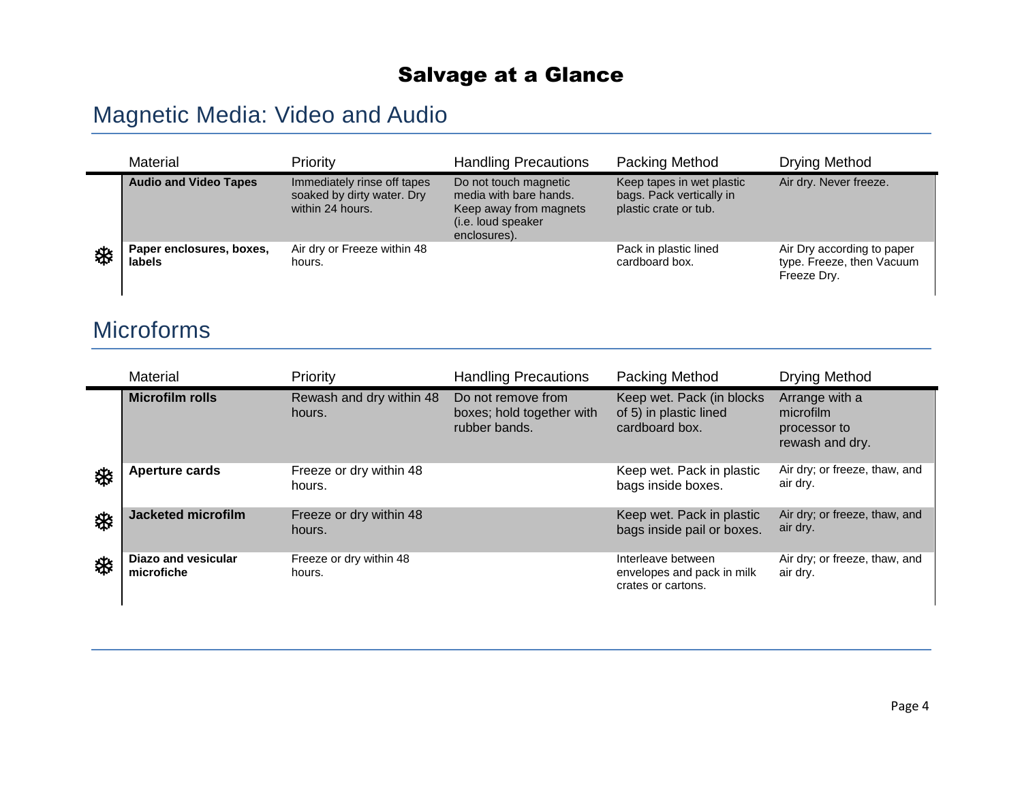# Magnetic Media: Video and Audio

|   | <b>Material</b>                    | Priority                                                                      | <b>Handling Precautions</b>                                                                                      | Packing Method                                                                 | Drying Method                                                          |
|---|------------------------------------|-------------------------------------------------------------------------------|------------------------------------------------------------------------------------------------------------------|--------------------------------------------------------------------------------|------------------------------------------------------------------------|
|   | <b>Audio and Video Tapes</b>       | Immediately rinse off tapes<br>soaked by dirty water. Dry<br>within 24 hours. | Do not touch magnetic<br>media with bare hands.<br>Keep away from magnets<br>(i.e. loud speaker)<br>enclosures). | Keep tapes in wet plastic<br>bags. Pack vertically in<br>plastic crate or tub. | Air dry. Never freeze.                                                 |
| 柋 | Paper enclosures, boxes,<br>labels | Air dry or Freeze within 48<br>hours.                                         |                                                                                                                  | Pack in plastic lined<br>cardboard box.                                        | Air Dry according to paper<br>type. Freeze, then Vacuum<br>Freeze Dry. |

## Microforms

|   | Material                          | Priority                           | <b>Handling Precautions</b>                                      | Packing Method                                                         | Drying Method                                                  |
|---|-----------------------------------|------------------------------------|------------------------------------------------------------------|------------------------------------------------------------------------|----------------------------------------------------------------|
|   | <b>Microfilm rolls</b>            | Rewash and dry within 48<br>hours. | Do not remove from<br>boxes; hold together with<br>rubber bands. | Keep wet. Pack (in blocks)<br>of 5) in plastic lined<br>cardboard box. | Arrange with a<br>microfilm<br>processor to<br>rewash and dry. |
| ӝ | <b>Aperture cards</b>             | Freeze or dry within 48<br>hours.  |                                                                  | Keep wet. Pack in plastic<br>bags inside boxes.                        | Air dry; or freeze, thaw, and<br>air dry.                      |
| 尜 | <b>Jacketed microfilm</b>         | Freeze or dry within 48<br>hours.  |                                                                  | Keep wet. Pack in plastic<br>bags inside pail or boxes.                | Air dry; or freeze, thaw, and<br>air dry.                      |
| 尜 | Diazo and vesicular<br>microfiche | Freeze or dry within 48<br>hours.  |                                                                  | Interleave between<br>envelopes and pack in milk<br>crates or cartons. | Air dry; or freeze, thaw, and<br>air dry.                      |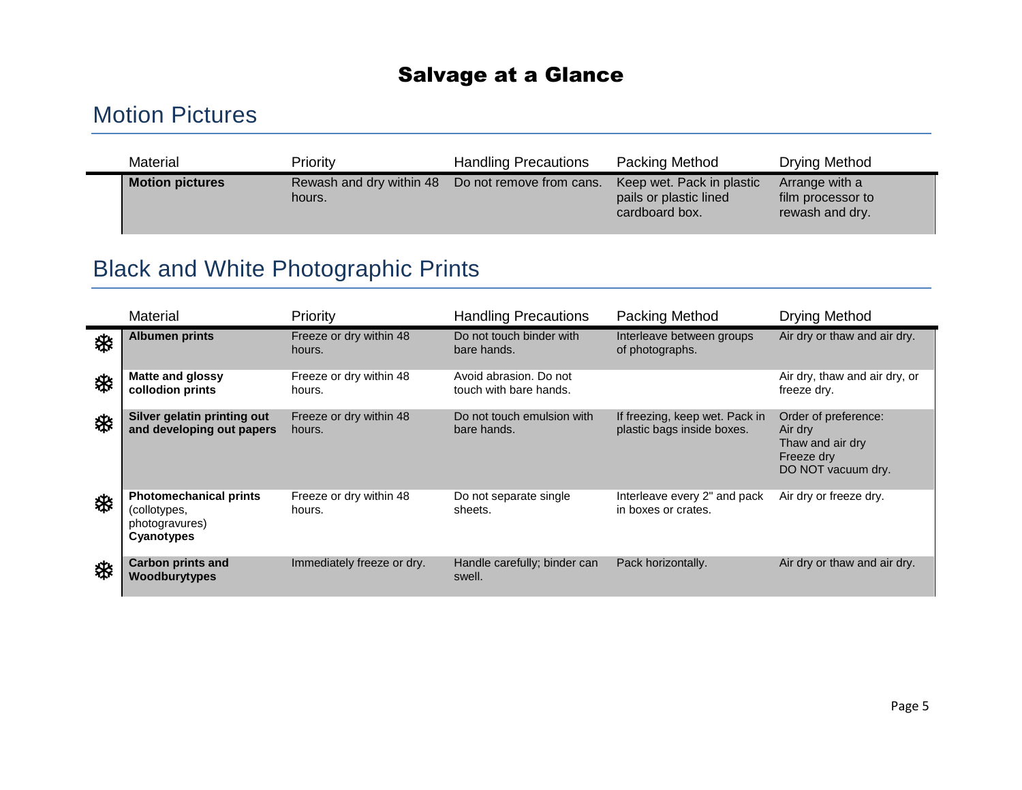## Motion Pictures

| Material               | Priority                           | <b>Handling Precautions</b> | <b>Packing Method</b>                                                 | Drying Method                                          |
|------------------------|------------------------------------|-----------------------------|-----------------------------------------------------------------------|--------------------------------------------------------|
| <b>Motion pictures</b> | Rewash and dry within 48<br>hours. | Do not remove from cans.    | Keep wet. Pack in plastic<br>pails or plastic lined<br>cardboard box. | Arrange with a<br>film processor to<br>rewash and dry. |

## Black and White Photographic Prints

|   | Material                                                                      | Priority                          | <b>Handling Precautions</b>                      | Packing Method                                               | Drying Method                                                                           |
|---|-------------------------------------------------------------------------------|-----------------------------------|--------------------------------------------------|--------------------------------------------------------------|-----------------------------------------------------------------------------------------|
| 尜 | <b>Albumen prints</b>                                                         | Freeze or dry within 48<br>hours. | Do not touch binder with<br>bare hands.          | Interleave between groups<br>of photographs.                 | Air dry or thaw and air dry.                                                            |
| ❄ | <b>Matte and glossy</b><br>collodion prints                                   | Freeze or dry within 48<br>hours. | Avoid abrasion. Do not<br>touch with bare hands. |                                                              | Air dry, thaw and air dry, or<br>freeze dry.                                            |
| ❄ | Silver gelatin printing out<br>and developing out papers                      | Freeze or dry within 48<br>hours. | Do not touch emulsion with<br>bare hands.        | If freezing, keep wet. Pack in<br>plastic bags inside boxes. | Order of preference:<br>Air dry<br>Thaw and air dry<br>Freeze dry<br>DO NOT vacuum dry. |
| 尜 | <b>Photomechanical prints</b><br>(collotypes,<br>photogravures)<br>Cyanotypes | Freeze or dry within 48<br>hours. | Do not separate single<br>sheets.                | Interleave every 2" and pack<br>in boxes or crates.          | Air dry or freeze dry.                                                                  |
| 尜 | <b>Carbon prints and</b><br>Woodburytypes                                     | Immediately freeze or dry.        | Handle carefully; binder can<br>swell.           | Pack horizontally.                                           | Air dry or thaw and air dry.                                                            |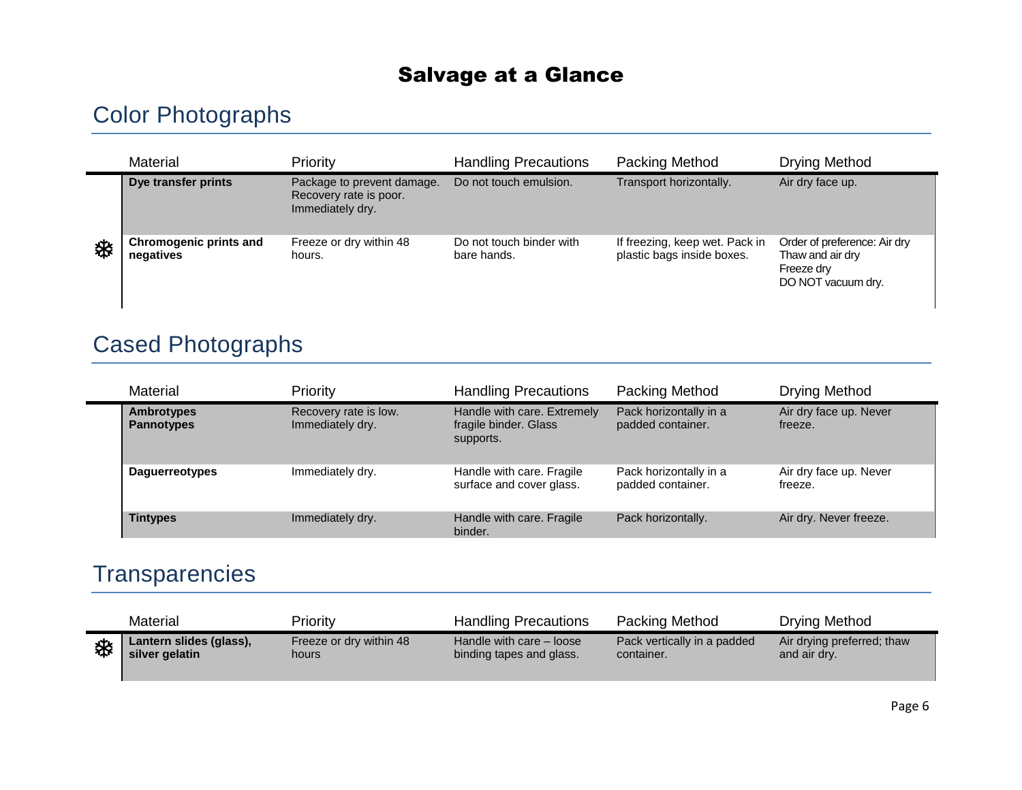## Color Photographs

|   | <b>Material</b>                     | Priority                                                                 | <b>Handling Precautions</b>             | Packing Method                                               | Drying Method                                                                        |
|---|-------------------------------------|--------------------------------------------------------------------------|-----------------------------------------|--------------------------------------------------------------|--------------------------------------------------------------------------------------|
|   | Dye transfer prints                 | Package to prevent damage.<br>Recovery rate is poor.<br>Immediately dry. | Do not touch emulsion.                  | Transport horizontally.                                      | Air dry face up.                                                                     |
| 尜 | Chromogenic prints and<br>negatives | Freeze or dry within 48<br>hours.                                        | Do not touch binder with<br>bare hands. | If freezing, keep wet. Pack in<br>plastic bags inside boxes. | Order of preference: Air dry<br>Thaw and air dry<br>Freeze dry<br>DO NOT vacuum dry. |

## Cased Photographs

| <b>Material</b>                        | Priority                                  | <b>Handling Precautions</b>                                       | Packing Method                              | Drying Method                     |
|----------------------------------------|-------------------------------------------|-------------------------------------------------------------------|---------------------------------------------|-----------------------------------|
| <b>Ambrotypes</b><br><b>Pannotypes</b> | Recovery rate is low.<br>Immediately dry. | Handle with care. Extremely<br>fragile binder. Glass<br>supports. | Pack horizontally in a<br>padded container. | Air dry face up. Never<br>freeze. |
| <b>Daguerreotypes</b>                  | Immediately dry.                          | Handle with care. Fragile<br>surface and cover glass.             | Pack horizontally in a<br>padded container. | Air dry face up. Never<br>freeze. |
| <b>Tintypes</b>                        | Immediately dry.                          | Handle with care. Fragile<br>binder.                              | Pack horizontally.                          | Air dry. Never freeze.            |

## **Transparencies**

|   | Material                | Priority                | <b>Handling Precautions</b> | Packing Method              | Drying Method              |
|---|-------------------------|-------------------------|-----------------------------|-----------------------------|----------------------------|
| ₩ | Lantern slides (glass), | Freeze or dry within 48 | Handle with care – loose    | Pack vertically in a padded | Air drying preferred; thaw |
|   | silver gelatin          | hours                   | binding tapes and glass.    | container.                  | and air dry.               |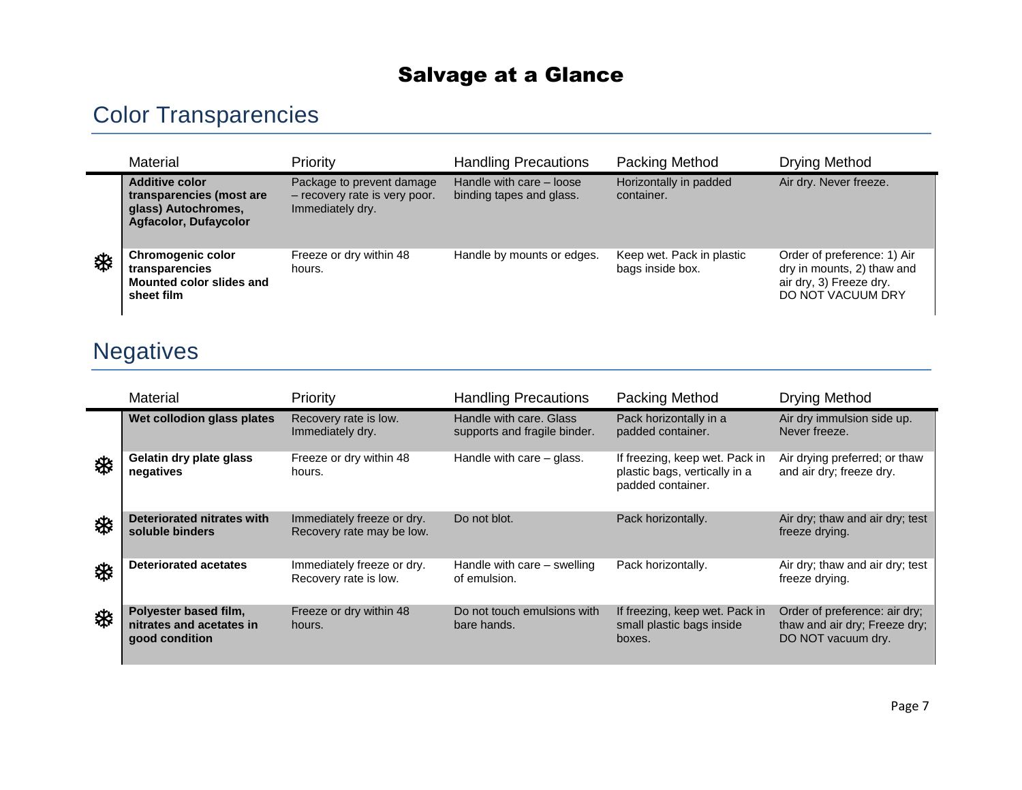# Color Transparencies

|   | <b>Material</b>                                                                                          | Priority                                                                       | <b>Handling Precautions</b>                          | Packing Method                                | Drying Method                                                                                             |
|---|----------------------------------------------------------------------------------------------------------|--------------------------------------------------------------------------------|------------------------------------------------------|-----------------------------------------------|-----------------------------------------------------------------------------------------------------------|
|   | <b>Additive color</b><br>transparencies (most are<br>glass) Autochromes,<br><b>Agfacolor, Dufaycolor</b> | Package to prevent damage<br>- recovery rate is very poor.<br>Immediately dry. | Handle with care - loose<br>binding tapes and glass. | Horizontally in padded<br>container.          | Air dry. Never freeze.                                                                                    |
| ₩ | <b>Chromogenic color</b><br>transparencies<br><b>Mounted color slides and</b><br>sheet film              | Freeze or dry within 48<br>hours.                                              | Handle by mounts or edges.                           | Keep wet. Pack in plastic<br>bags inside box. | Order of preference: 1) Air<br>dry in mounts, 2) thaw and<br>air dry, 3) Freeze dry.<br>DO NOT VACUUM DRY |

# **Negatives**

|   | Material                                                            | Priority                                                | <b>Handling Precautions</b>                             | <b>Packing Method</b>                                                                | Drying Method                                                                        |
|---|---------------------------------------------------------------------|---------------------------------------------------------|---------------------------------------------------------|--------------------------------------------------------------------------------------|--------------------------------------------------------------------------------------|
|   | Wet collodion glass plates                                          | Recovery rate is low.<br>Immediately dry.               | Handle with care, Glass<br>supports and fragile binder. | Pack horizontally in a<br>padded container.                                          | Air dry immulsion side up.<br>Never freeze.                                          |
| 尜 | Gelatin dry plate glass<br>negatives                                | Freeze or dry within 48<br>hours.                       | Handle with care – glass.                               | If freezing, keep wet. Pack in<br>plastic bags, vertically in a<br>padded container. | Air drying preferred; or thaw<br>and air dry; freeze dry.                            |
| ₩ | Deteriorated nitrates with<br>soluble binders                       | Immediately freeze or dry.<br>Recovery rate may be low. | Do not blot.                                            | Pack horizontally.                                                                   | Air dry; thaw and air dry; test<br>freeze drying.                                    |
| ₩ | <b>Deteriorated acetates</b>                                        | Immediately freeze or dry.<br>Recovery rate is low.     | Handle with care $-$ swelling<br>of emulsion.           | Pack horizontally.                                                                   | Air dry; thaw and air dry; test<br>freeze drying.                                    |
| ❄ | Polyester based film,<br>nitrates and acetates in<br>good condition | Freeze or dry within 48<br>hours.                       | Do not touch emulsions with<br>bare hands.              | If freezing, keep wet. Pack in<br>small plastic bags inside<br>boxes.                | Order of preference: air dry;<br>thaw and air dry; Freeze dry;<br>DO NOT vacuum dry. |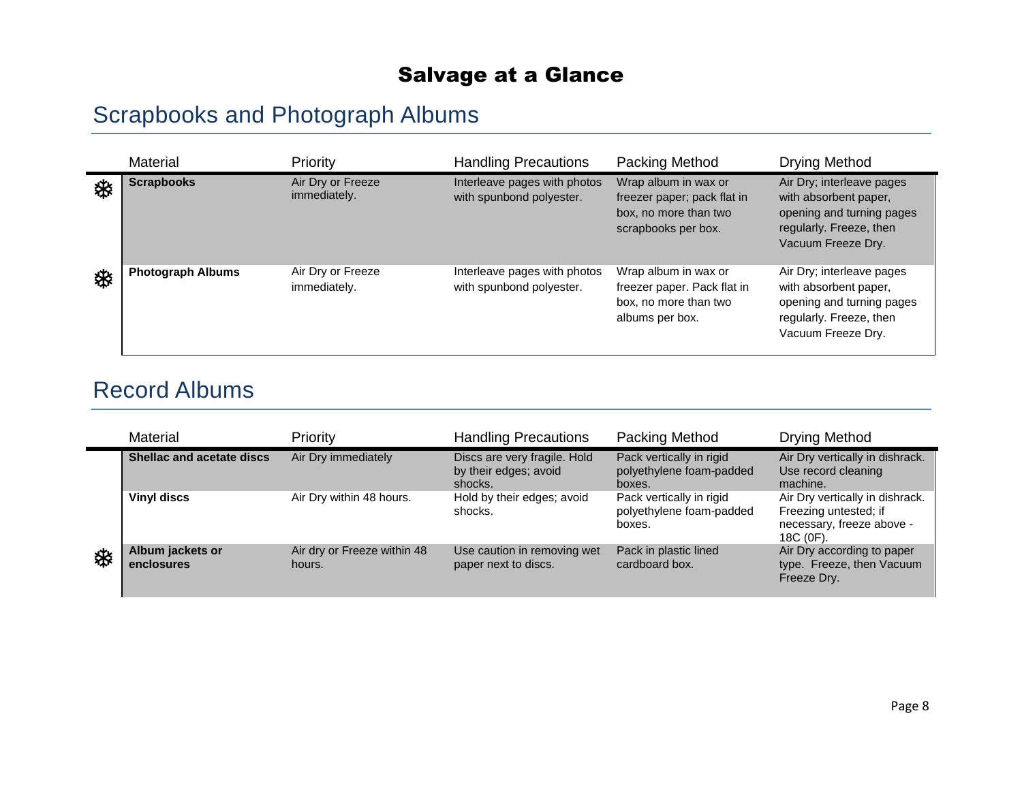## Scrapbooks and Photograph Albums

|   | <b>Material</b>          | Priority                          | <b>Handling Precautions</b>                              | Packing Method                                                                                      | Drying Method                                                                                                                    |
|---|--------------------------|-----------------------------------|----------------------------------------------------------|-----------------------------------------------------------------------------------------------------|----------------------------------------------------------------------------------------------------------------------------------|
| 尜 | <b>Scrapbooks</b>        | Air Dry or Freeze<br>immediately. | Interleave pages with photos<br>with spunbond polyester. | Wrap album in wax or<br>freezer paper; pack flat in<br>box, no more than two<br>scrapbooks per box. | Air Dry; interleave pages<br>with absorbent paper,<br>opening and turning pages<br>regularly. Freeze, then<br>Vacuum Freeze Dry. |
| 尜 | <b>Photograph Albums</b> | Air Dry or Freeze<br>immediately. | Interleave pages with photos<br>with spunbond polyester. | Wrap album in wax or<br>freezer paper. Pack flat in<br>box, no more than two<br>albums per box.     | Air Dry; interleave pages<br>with absorbent paper,<br>opening and turning pages<br>regularly. Freeze, then<br>Vacuum Freeze Dry. |

#### Record Albums

|   | <b>Material</b>                | Priority                              | <b>Handling Precautions</b>                                      | Packing Method                                                 | Drying Method                                                                                      |
|---|--------------------------------|---------------------------------------|------------------------------------------------------------------|----------------------------------------------------------------|----------------------------------------------------------------------------------------------------|
|   | Shellac and acetate discs      | Air Dry immediately                   | Discs are very fragile. Hold<br>by their edges; avoid<br>shocks. | Pack vertically in rigid<br>polyethylene foam-padded<br>boxes. | Air Dry vertically in dishrack.<br>Use record cleaning<br>machine.                                 |
|   | <b>Vinyl discs</b>             | Air Dry within 48 hours.              | Hold by their edges; avoid<br>shocks.                            | Pack vertically in rigid<br>polyethylene foam-padded<br>boxes. | Air Dry vertically in dishrack.<br>Freezing untested; if<br>necessary, freeze above -<br>18C (0F). |
| 尜 | Album jackets or<br>enclosures | Air dry or Freeze within 48<br>hours. | Use caution in removing wet<br>paper next to discs.              | Pack in plastic lined<br>cardboard box.                        | Air Dry according to paper<br>type. Freeze, then Vacuum<br>Freeze Dry.                             |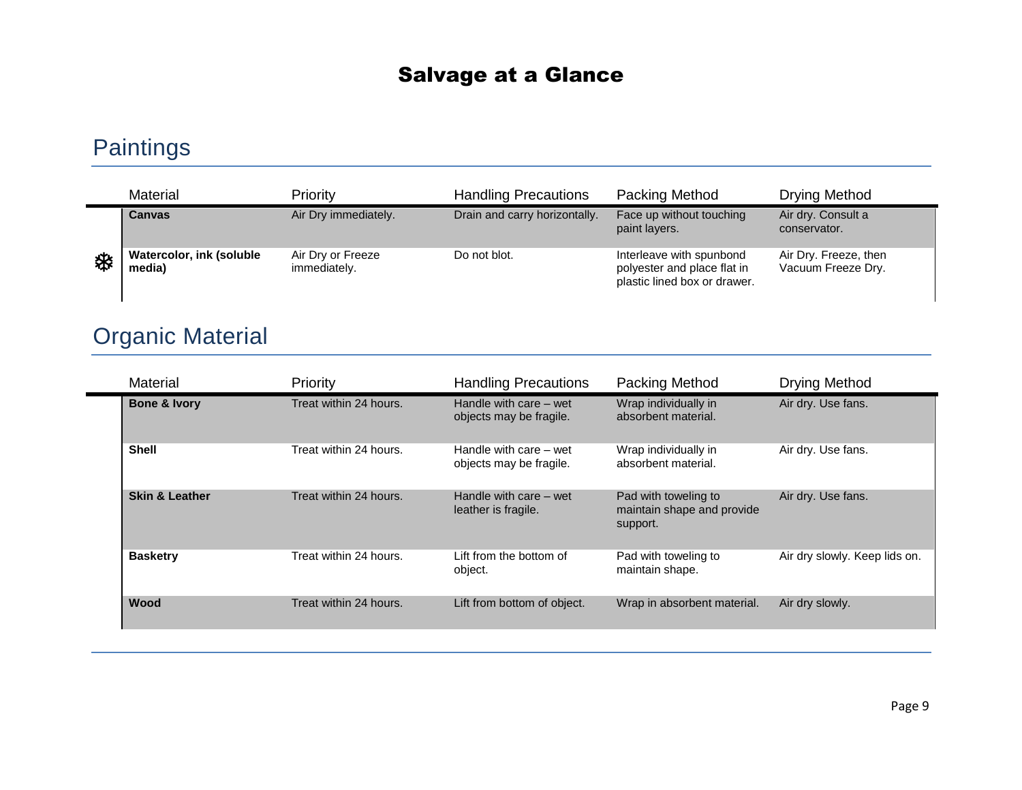## **Paintings**

|   | Material                           | Priority                          | <b>Handling Precautions</b>   | Packing Method                                                                          | Drying Method                               |
|---|------------------------------------|-----------------------------------|-------------------------------|-----------------------------------------------------------------------------------------|---------------------------------------------|
|   | <b>Canvas</b>                      | Air Dry immediately.              | Drain and carry horizontally. | Face up without touching<br>paint layers.                                               | Air dry. Consult a<br>conservator.          |
| ₩ | Watercolor, ink (soluble<br>media) | Air Dry or Freeze<br>immediately. | Do not blot.                  | Interleave with spunbond<br>polyester and place flat in<br>plastic lined box or drawer. | Air Dry. Freeze, then<br>Vacuum Freeze Dry. |

# Organic Material

| Material                  | Priority               | <b>Handling Precautions</b>                       | Packing Method                                                 | Drying Method                 |
|---------------------------|------------------------|---------------------------------------------------|----------------------------------------------------------------|-------------------------------|
| <b>Bone &amp; Ivory</b>   | Treat within 24 hours. | Handle with care – wet<br>objects may be fragile. | Wrap individually in<br>absorbent material.                    | Air dry. Use fans.            |
| <b>Shell</b>              | Treat within 24 hours. | Handle with care – wet<br>objects may be fragile. | Wrap individually in<br>absorbent material.                    | Air dry. Use fans.            |
| <b>Skin &amp; Leather</b> | Treat within 24 hours. | Handle with care – wet<br>leather is fragile.     | Pad with toweling to<br>maintain shape and provide<br>support. | Air dry. Use fans.            |
| <b>Basketry</b>           | Treat within 24 hours. | Lift from the bottom of<br>object.                | Pad with toweling to<br>maintain shape.                        | Air dry slowly. Keep lids on. |
| Wood                      | Treat within 24 hours. | Lift from bottom of object.                       | Wrap in absorbent material.                                    | Air dry slowly.               |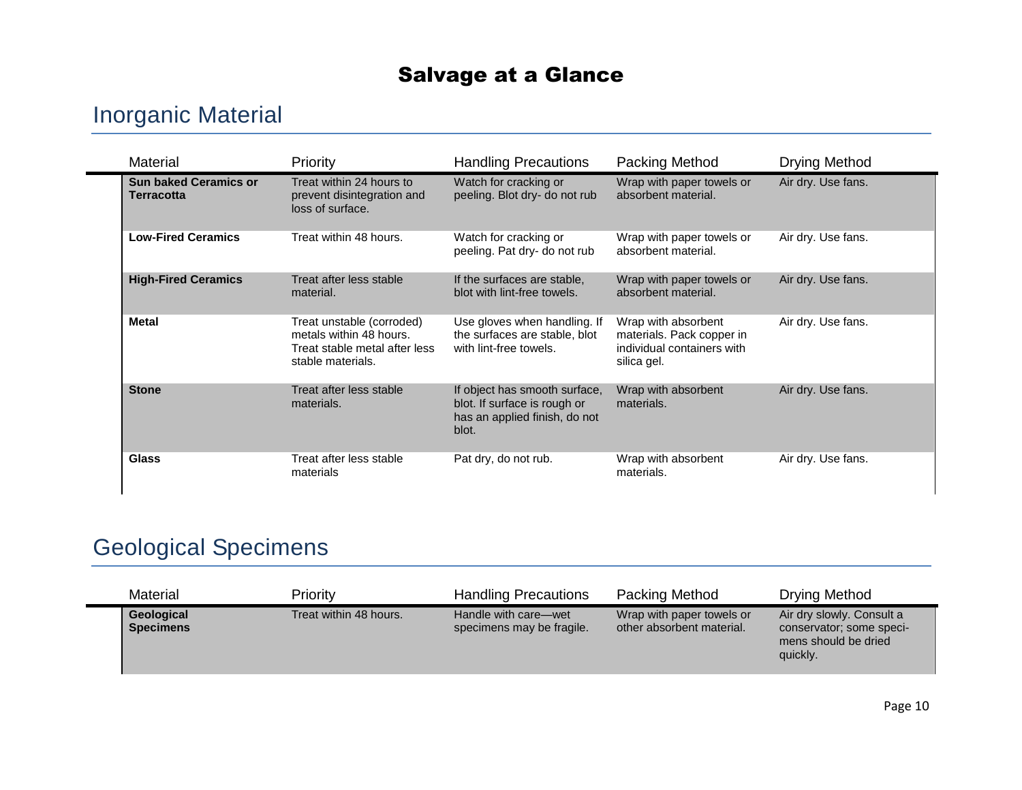## Inorganic Material

| Material                                          | Priority                                                                                                   | <b>Handling Precautions</b>                                                                             | Packing Method                                                                                | <b>Drying Method</b> |
|---------------------------------------------------|------------------------------------------------------------------------------------------------------------|---------------------------------------------------------------------------------------------------------|-----------------------------------------------------------------------------------------------|----------------------|
| <b>Sun baked Ceramics or</b><br><b>Terracotta</b> | Treat within 24 hours to<br>prevent disintegration and<br>loss of surface.                                 | Watch for cracking or<br>peeling. Blot dry- do not rub                                                  | Wrap with paper towels or<br>absorbent material.                                              | Air dry. Use fans.   |
| <b>Low-Fired Ceramics</b>                         | Treat within 48 hours.                                                                                     | Watch for cracking or<br>peeling. Pat dry- do not rub                                                   | Wrap with paper towels or<br>absorbent material.                                              | Air dry. Use fans.   |
| <b>High-Fired Ceramics</b>                        | Treat after less stable<br>material.                                                                       | If the surfaces are stable,<br>blot with lint-free towels.                                              | Wrap with paper towels or<br>absorbent material.                                              | Air dry. Use fans.   |
| <b>Metal</b>                                      | Treat unstable (corroded)<br>metals within 48 hours.<br>Treat stable metal after less<br>stable materials. | Use gloves when handling. If<br>the surfaces are stable, blot<br>with lint-free towels.                 | Wrap with absorbent<br>materials. Pack copper in<br>individual containers with<br>silica gel. | Air dry. Use fans.   |
| <b>Stone</b>                                      | Treat after less stable<br>materials.                                                                      | If object has smooth surface,<br>blot. If surface is rough or<br>has an applied finish, do not<br>blot. | Wrap with absorbent<br>materials.                                                             | Air dry. Use fans.   |
| <b>Glass</b>                                      | Treat after less stable<br>materials                                                                       | Pat dry, do not rub.                                                                                    | Wrap with absorbent<br>materials.                                                             | Air dry. Use fans.   |

# Geological Specimens

| Material                              | Priority               | <b>Handling Precautions</b>                       | <b>Packing Method</b>                                  | Drying Method                                                                             |
|---------------------------------------|------------------------|---------------------------------------------------|--------------------------------------------------------|-------------------------------------------------------------------------------------------|
| <b>Geological</b><br><b>Specimens</b> | Treat within 48 hours. | Handle with care-wet<br>specimens may be fragile. | Wrap with paper towels or<br>other absorbent material. | Air dry slowly. Consult a<br>conservator; some speci-<br>mens should be dried<br>quickly. |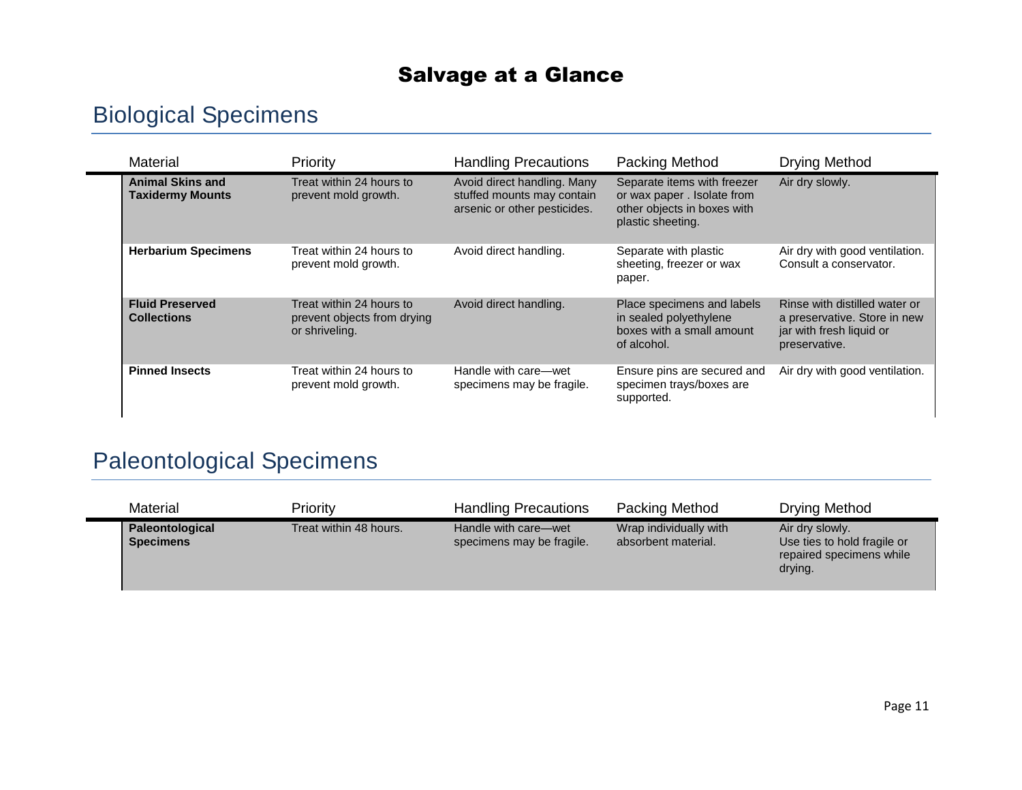## Biological Specimens

| Material                                           | Priority                                                                  | <b>Handling Precautions</b>                                                               | Packing Method                                                                                                 | Drying Method                                                                                              |
|----------------------------------------------------|---------------------------------------------------------------------------|-------------------------------------------------------------------------------------------|----------------------------------------------------------------------------------------------------------------|------------------------------------------------------------------------------------------------------------|
| <b>Animal Skins and</b><br><b>Taxidermy Mounts</b> | Treat within 24 hours to<br>prevent mold growth.                          | Avoid direct handling. Many<br>stuffed mounts may contain<br>arsenic or other pesticides. | Separate items with freezer<br>or wax paper . Isolate from<br>other objects in boxes with<br>plastic sheeting. | Air dry slowly.                                                                                            |
| <b>Herbarium Specimens</b>                         | Treat within 24 hours to<br>prevent mold growth.                          | Avoid direct handling.                                                                    | Separate with plastic<br>sheeting, freezer or wax<br>paper.                                                    | Air dry with good ventilation.<br>Consult a conservator.                                                   |
| <b>Fluid Preserved</b><br><b>Collections</b>       | Treat within 24 hours to<br>prevent objects from drying<br>or shriveling. | Avoid direct handling.                                                                    | Place specimens and labels<br>in sealed polyethylene<br>boxes with a small amount<br>of alcohol.               | Rinse with distilled water or<br>a preservative. Store in new<br>jar with fresh liquid or<br>preservative. |
| <b>Pinned Insects</b>                              | Treat within 24 hours to<br>prevent mold growth.                          | Handle with care—wet<br>specimens may be fragile.                                         | Ensure pins are secured and<br>specimen trays/boxes are<br>supported.                                          | Air dry with good ventilation.                                                                             |

## Paleontological Specimens

| Material                                   | Priority               | <b>Handling Precautions</b>                       | Packing Method                                | Drying Method                                                                         |
|--------------------------------------------|------------------------|---------------------------------------------------|-----------------------------------------------|---------------------------------------------------------------------------------------|
| <b>Paleontological</b><br><b>Specimens</b> | Treat within 48 hours. | Handle with care-wet<br>specimens may be fragile. | Wrap individually with<br>absorbent material. | Air dry slowly.<br>Use ties to hold fragile or<br>repaired specimens while<br>drying. |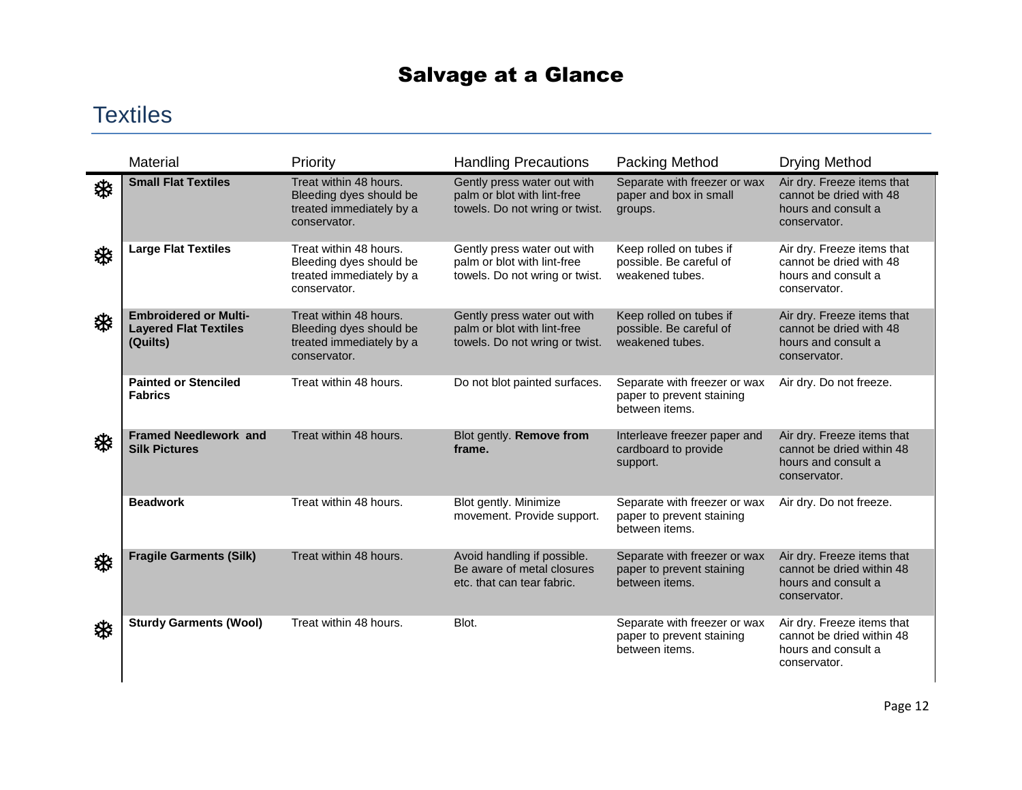# **Textiles**

|   | Material                                                                 | Priority                                                                                      | <b>Handling Precautions</b>                                                                  | Packing Method                                                              | <b>Drying Method</b>                                                                           |
|---|--------------------------------------------------------------------------|-----------------------------------------------------------------------------------------------|----------------------------------------------------------------------------------------------|-----------------------------------------------------------------------------|------------------------------------------------------------------------------------------------|
| ₩ | <b>Small Flat Textiles</b>                                               | Treat within 48 hours.<br>Bleeding dyes should be<br>treated immediately by a<br>conservator. | Gently press water out with<br>palm or blot with lint-free<br>towels. Do not wring or twist. | Separate with freezer or wax<br>paper and box in small<br>groups.           | Air dry. Freeze items that<br>cannot be dried with 48<br>hours and consult a<br>conservator.   |
| ₩ | <b>Large Flat Textiles</b>                                               | Treat within 48 hours.<br>Bleeding dyes should be<br>treated immediately by a<br>conservator. | Gently press water out with<br>palm or blot with lint-free<br>towels. Do not wring or twist. | Keep rolled on tubes if<br>possible. Be careful of<br>weakened tubes.       | Air dry. Freeze items that<br>cannot be dried with 48<br>hours and consult a<br>conservator.   |
| ₩ | <b>Embroidered or Multi-</b><br><b>Layered Flat Textiles</b><br>(Quilts) | Treat within 48 hours.<br>Bleeding dyes should be<br>treated immediately by a<br>conservator. | Gently press water out with<br>palm or blot with lint-free<br>towels. Do not wring or twist. | Keep rolled on tubes if<br>possible. Be careful of<br>weakened tubes.       | Air dry. Freeze items that<br>cannot be dried with 48<br>hours and consult a<br>conservator.   |
|   | <b>Painted or Stenciled</b><br><b>Fabrics</b>                            | Treat within 48 hours.                                                                        | Do not blot painted surfaces.                                                                | Separate with freezer or wax<br>paper to prevent staining<br>between items. | Air dry. Do not freeze.                                                                        |
| ₩ | <b>Framed Needlework and</b><br><b>Silk Pictures</b>                     | Treat within 48 hours.                                                                        | Blot gently. Remove from<br>frame.                                                           | Interleave freezer paper and<br>cardboard to provide<br>support.            | Air dry. Freeze items that<br>cannot be dried within 48<br>hours and consult a<br>conservator. |
|   | <b>Beadwork</b>                                                          | Treat within 48 hours.                                                                        | Blot gently. Minimize<br>movement. Provide support.                                          | Separate with freezer or wax<br>paper to prevent staining<br>between items. | Air dry. Do not freeze.                                                                        |
| ❄ | <b>Fragile Garments (Silk)</b>                                           | Treat within 48 hours.                                                                        | Avoid handling if possible.<br>Be aware of metal closures<br>etc. that can tear fabric.      | Separate with freezer or wax<br>paper to prevent staining<br>between items. | Air dry. Freeze items that<br>cannot be dried within 48<br>hours and consult a<br>conservator. |
| ₩ | <b>Sturdy Garments (Wool)</b>                                            | Treat within 48 hours.                                                                        | Blot.                                                                                        | Separate with freezer or wax<br>paper to prevent staining<br>between items. | Air dry. Freeze items that<br>cannot be dried within 48<br>hours and consult a<br>conservator. |